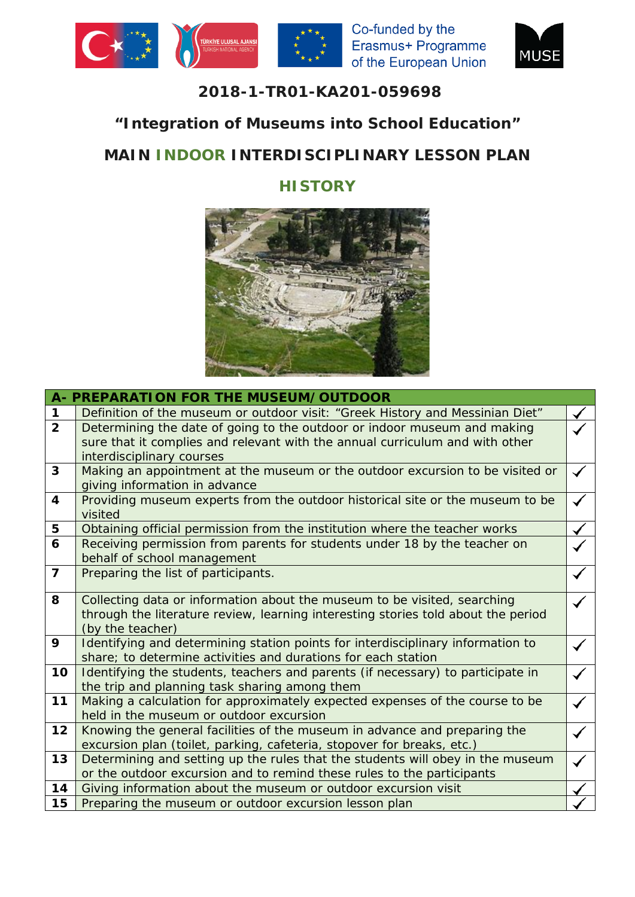





### **2018-1-TR01-KA201-059698**

## **"Integration of Museums into School Education"**

# **MAIN INDOOR INTERDISCIPLINARY LESSON PLAN**

## **HISTORY**



|                         | A- PREPARATION FOR THE MUSEUM/OUTDOOR                                                                                                                         |  |
|-------------------------|---------------------------------------------------------------------------------------------------------------------------------------------------------------|--|
| $\mathbf 1$             | Definition of the museum or outdoor visit: "Greek History and Messinian Diet"                                                                                 |  |
| $\overline{2}$          | Determining the date of going to the outdoor or indoor museum and making                                                                                      |  |
|                         | sure that it complies and relevant with the annual curriculum and with other                                                                                  |  |
|                         | interdisciplinary courses                                                                                                                                     |  |
| 3                       | Making an appointment at the museum or the outdoor excursion to be visited or                                                                                 |  |
|                         | giving information in advance                                                                                                                                 |  |
| $\overline{\mathbf{4}}$ | Providing museum experts from the outdoor historical site or the museum to be                                                                                 |  |
|                         | visited                                                                                                                                                       |  |
| 5                       | Obtaining official permission from the institution where the teacher works                                                                                    |  |
| 6                       | Receiving permission from parents for students under 18 by the teacher on                                                                                     |  |
|                         | behalf of school management                                                                                                                                   |  |
| $\overline{7}$          | Preparing the list of participants.                                                                                                                           |  |
| 8                       |                                                                                                                                                               |  |
|                         | Collecting data or information about the museum to be visited, searching<br>through the literature review, learning interesting stories told about the period |  |
|                         | (by the teacher)                                                                                                                                              |  |
| 9                       | Identifying and determining station points for interdisciplinary information to                                                                               |  |
|                         | share; to determine activities and durations for each station                                                                                                 |  |
| 10                      | Identifying the students, teachers and parents (if necessary) to participate in                                                                               |  |
|                         | the trip and planning task sharing among them                                                                                                                 |  |
| 11                      | Making a calculation for approximately expected expenses of the course to be                                                                                  |  |
|                         | held in the museum or outdoor excursion                                                                                                                       |  |
| 12                      | Knowing the general facilities of the museum in advance and preparing the                                                                                     |  |
|                         | excursion plan (toilet, parking, cafeteria, stopover for breaks, etc.)                                                                                        |  |
| 13                      | Determining and setting up the rules that the students will obey in the museum                                                                                |  |
|                         | or the outdoor excursion and to remind these rules to the participants                                                                                        |  |
| 14                      | Giving information about the museum or outdoor excursion visit                                                                                                |  |
| 15                      | Preparing the museum or outdoor excursion lesson plan                                                                                                         |  |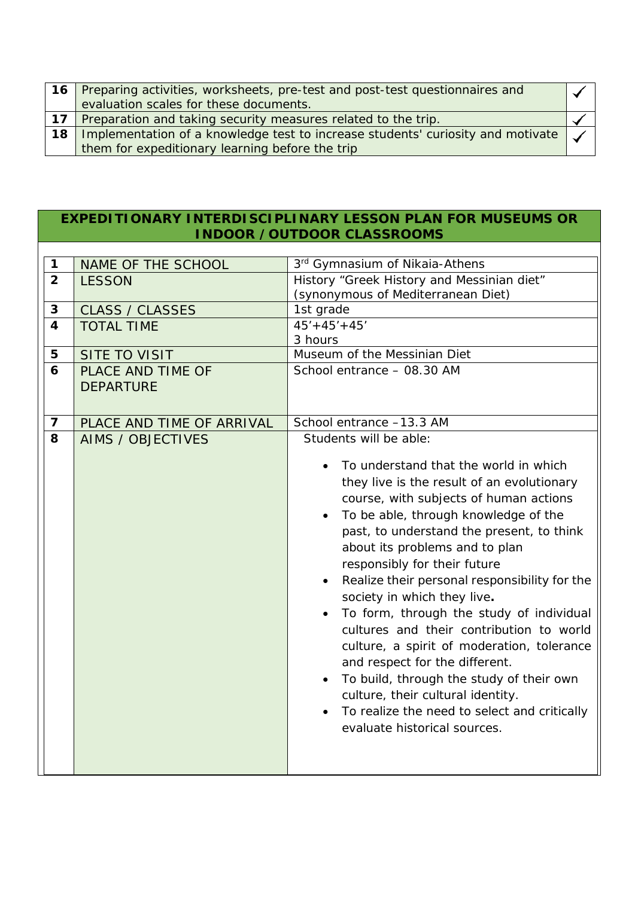|    | 16 Preparing activities, worksheets, pre-test and post-test questionnaires and  |  |
|----|---------------------------------------------------------------------------------|--|
|    | evaluation scales for these documents.                                          |  |
|    | 17 Preparation and taking security measures related to the trip.                |  |
| 18 | Implementation of a knowledge test to increase students' curiosity and motivate |  |
|    | them for expeditionary learning before the trip                                 |  |

#### **EXPEDITIONARY INTERDISCIPLINARY LESSON PLAN FOR MUSEUMS OR INDOOR /OUTDOOR CLASSROOMS**

| $\mathbf 1$             | NAME OF THE SCHOOL        | 3rd Gymnasium of Nikaia-Athens                |  |
|-------------------------|---------------------------|-----------------------------------------------|--|
| $\overline{2}$          | <b>LESSON</b>             | History "Greek History and Messinian diet"    |  |
|                         |                           | (synonymous of Mediterranean Diet)            |  |
| $\mathbf{3}$            | <b>CLASS / CLASSES</b>    | 1st grade                                     |  |
| $\overline{\mathbf{4}}$ | <b>TOTAL TIME</b>         | $45' + 45' + 45'$                             |  |
|                         |                           | 3 hours                                       |  |
| 5                       | <b>SITE TO VISIT</b>      | Museum of the Messinian Diet                  |  |
| 6                       | PLACE AND TIME OF         | School entrance - 08.30 AM                    |  |
|                         | <b>DEPARTURE</b>          |                                               |  |
|                         |                           |                                               |  |
| $\overline{\mathbf{z}}$ | PLACE AND TIME OF ARRIVAL | School entrance -13.3 AM                      |  |
| 8                       | <b>AIMS / OBJECTIVES</b>  | Students will be able:                        |  |
|                         |                           |                                               |  |
|                         |                           | To understand that the world in which         |  |
|                         |                           | they live is the result of an evolutionary    |  |
|                         |                           | course, with subjects of human actions        |  |
|                         |                           | To be able, through knowledge of the          |  |
|                         |                           | past, to understand the present, to think     |  |
|                         |                           | about its problems and to plan                |  |
|                         |                           | responsibly for their future                  |  |
|                         |                           | Realize their personal responsibility for the |  |
|                         |                           | society in which they live.                   |  |
|                         |                           | To form, through the study of individual      |  |
|                         |                           | cultures and their contribution to world      |  |
|                         |                           | culture, a spirit of moderation, tolerance    |  |
|                         |                           | and respect for the different.                |  |
|                         |                           | To build, through the study of their own      |  |
|                         |                           | culture, their cultural identity.             |  |
|                         |                           | To realize the need to select and critically  |  |
|                         |                           |                                               |  |
|                         |                           | evaluate historical sources.                  |  |
|                         |                           |                                               |  |
|                         |                           |                                               |  |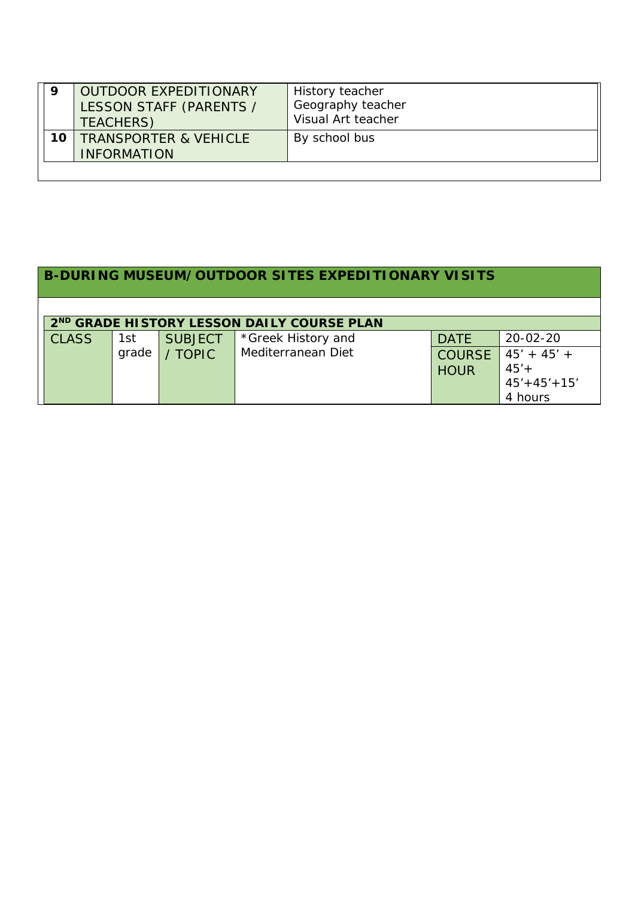| 9  | <b>OUTDOOR EXPEDITIONARY</b><br>LESSON STAFF (PARENTS /<br>TEACHERS) | History teacher<br>Geography teacher<br>Visual Art teacher |
|----|----------------------------------------------------------------------|------------------------------------------------------------|
| 10 | <b>TRANSPORTER &amp; VEHICLE</b><br><b>INFORMATION</b>               | By school bus                                              |

| 2 <sup>ND</sup> GRADE HISTORY LESSON DAILY COURSE PLAN |       |                |                    |                              |                                                          |  |  |  |
|--------------------------------------------------------|-------|----------------|--------------------|------------------------------|----------------------------------------------------------|--|--|--|
| <b>CLASS</b>                                           | 1st   | <b>SUBJECT</b> | *Greek History and | <b>DATE</b>                  | $20 - 02 - 20$                                           |  |  |  |
|                                                        | grade | <b>TOPIC</b>   | Mediterranean Diet | <b>COURSE</b><br><b>HOUR</b> | $45' + 45' +$<br>$45' +$<br>$45' + 45' + 15'$<br>4 hours |  |  |  |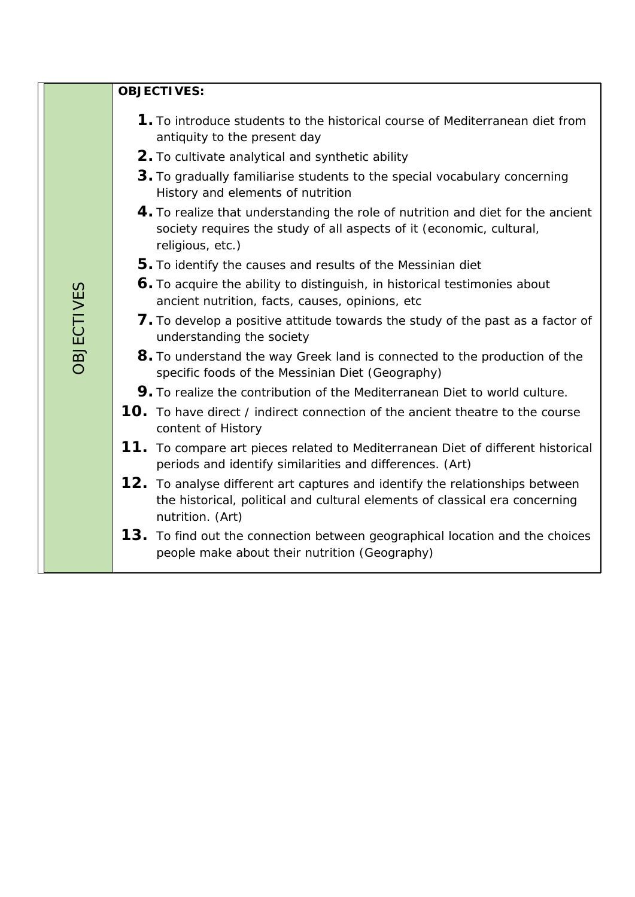|                   | <b>OBJECTIVES:</b>                                                                                                                                                              |
|-------------------|---------------------------------------------------------------------------------------------------------------------------------------------------------------------------------|
|                   | <b>1.</b> To introduce students to the historical course of Mediterranean diet from<br>antiquity to the present day                                                             |
|                   | 2. To cultivate analytical and synthetic ability                                                                                                                                |
|                   | 3. To gradually familiarise students to the special vocabulary concerning<br>History and elements of nutrition                                                                  |
|                   | 4. To realize that understanding the role of nutrition and diet for the ancient<br>society requires the study of all aspects of it (economic, cultural,<br>religious, etc.)     |
|                   | 5. To identify the causes and results of the Messinian diet                                                                                                                     |
|                   | 6. To acquire the ability to distinguish, in historical testimonies about<br>ancient nutrition, facts, causes, opinions, etc                                                    |
| <b>OBJECTIVES</b> | 7. To develop a positive attitude towards the study of the past as a factor of<br>understanding the society                                                                     |
|                   | 8. To understand the way Greek land is connected to the production of the<br>specific foods of the Messinian Diet (Geography)                                                   |
|                   | 9. To realize the contribution of the Mediterranean Diet to world culture.                                                                                                      |
|                   | 10. To have direct / indirect connection of the ancient theatre to the course<br>content of History                                                                             |
|                   | 11. To compare art pieces related to Mediterranean Diet of different historical<br>periods and identify similarities and differences. (Art)                                     |
|                   | 12. To analyse different art captures and identify the relationships between<br>the historical, political and cultural elements of classical era concerning<br>nutrition. (Art) |
|                   | 13. To find out the connection between geographical location and the choices<br>people make about their nutrition (Geography)                                                   |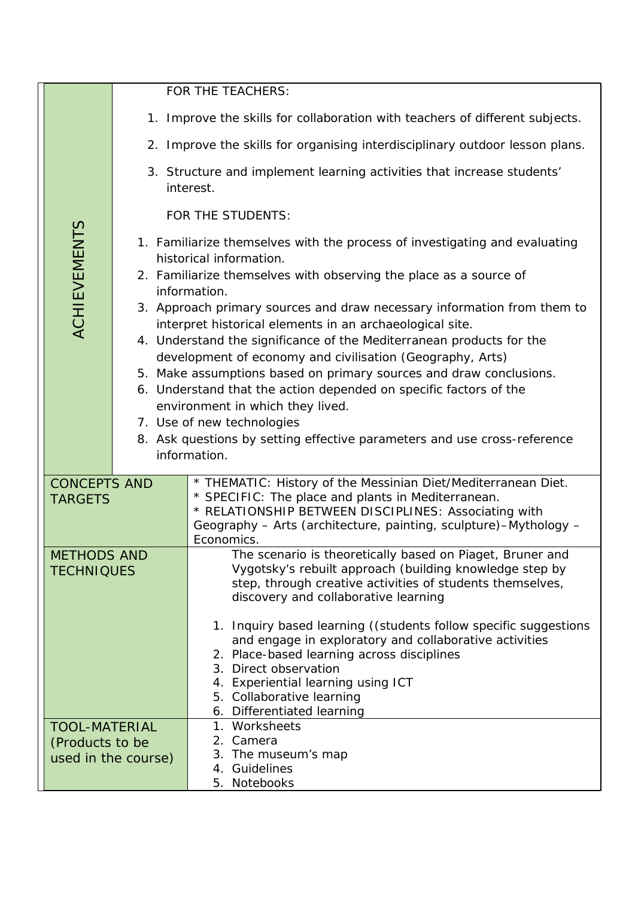|                 |                                         |                                                                                                                                                                                                                                                 | FOR THE TEACHERS:                                                                                                                                                                                                                                                            |  |  |  |  |
|-----------------|-----------------------------------------|-------------------------------------------------------------------------------------------------------------------------------------------------------------------------------------------------------------------------------------------------|------------------------------------------------------------------------------------------------------------------------------------------------------------------------------------------------------------------------------------------------------------------------------|--|--|--|--|
|                 |                                         |                                                                                                                                                                                                                                                 | 1. Improve the skills for collaboration with teachers of different subjects.                                                                                                                                                                                                 |  |  |  |  |
|                 |                                         |                                                                                                                                                                                                                                                 | 2. Improve the skills for organising interdisciplinary outdoor lesson plans.                                                                                                                                                                                                 |  |  |  |  |
|                 |                                         | 3. Structure and implement learning activities that increase students'<br>interest.                                                                                                                                                             |                                                                                                                                                                                                                                                                              |  |  |  |  |
|                 |                                         |                                                                                                                                                                                                                                                 | FOR THE STUDENTS:                                                                                                                                                                                                                                                            |  |  |  |  |
|                 | <b>ACHIEVEMENTS</b>                     | 1. Familiarize themselves with the process of investigating and evaluating<br>historical information.<br>2. Familiarize themselves with observing the place as a source of                                                                      |                                                                                                                                                                                                                                                                              |  |  |  |  |
|                 |                                         |                                                                                                                                                                                                                                                 | information.<br>3. Approach primary sources and draw necessary information from them to<br>interpret historical elements in an archaeological site.                                                                                                                          |  |  |  |  |
|                 |                                         |                                                                                                                                                                                                                                                 | 4. Understand the significance of the Mediterranean products for the<br>development of economy and civilisation (Geography, Arts)<br>5. Make assumptions based on primary sources and draw conclusions.<br>6. Understand that the action depended on specific factors of the |  |  |  |  |
|                 |                                         | environment in which they lived.<br>7. Use of new technologies                                                                                                                                                                                  |                                                                                                                                                                                                                                                                              |  |  |  |  |
|                 |                                         | 8. Ask questions by setting effective parameters and use cross-reference                                                                                                                                                                        |                                                                                                                                                                                                                                                                              |  |  |  |  |
|                 |                                         | information.                                                                                                                                                                                                                                    |                                                                                                                                                                                                                                                                              |  |  |  |  |
|                 | <b>CONCEPTS AND</b><br><b>TARGETS</b>   | * THEMATIC: History of the Messinian Diet/Mediterranean Diet.<br>* SPECIFIC: The place and plants in Mediterranean.<br>* RELATIONSHIP BETWEEN DISCIPLINES: Associating with<br>Geography - Arts (architecture, painting, sculpture)-Mythology - |                                                                                                                                                                                                                                                                              |  |  |  |  |
|                 |                                         |                                                                                                                                                                                                                                                 | Economics.                                                                                                                                                                                                                                                                   |  |  |  |  |
|                 | <b>METHODS AND</b><br><b>TECHNIQUES</b> |                                                                                                                                                                                                                                                 | The scenario is theoretically based on Piaget, Bruner and<br>Vygotsky's rebuilt approach (building knowledge step by<br>step, through creative activities of students themselves,<br>discovery and collaborative learning                                                    |  |  |  |  |
|                 |                                         |                                                                                                                                                                                                                                                 | 1. Inquiry based learning ((students follow specific suggestions<br>and engage in exploratory and collaborative activities<br>2. Place-based learning across disciplines<br>3. Direct observation                                                                            |  |  |  |  |
|                 |                                         |                                                                                                                                                                                                                                                 | 4. Experiential learning using ICT<br>5. Collaborative learning<br>6. Differentiated learning                                                                                                                                                                                |  |  |  |  |
|                 | <b>TOOL-MATERIAL</b>                    |                                                                                                                                                                                                                                                 | 1. Worksheets                                                                                                                                                                                                                                                                |  |  |  |  |
| (Products to be |                                         |                                                                                                                                                                                                                                                 | 2. Camera<br>3. The museum's map                                                                                                                                                                                                                                             |  |  |  |  |
|                 |                                         | used in the course)                                                                                                                                                                                                                             | 4. Guidelines                                                                                                                                                                                                                                                                |  |  |  |  |
|                 |                                         |                                                                                                                                                                                                                                                 | Notebooks<br>5.                                                                                                                                                                                                                                                              |  |  |  |  |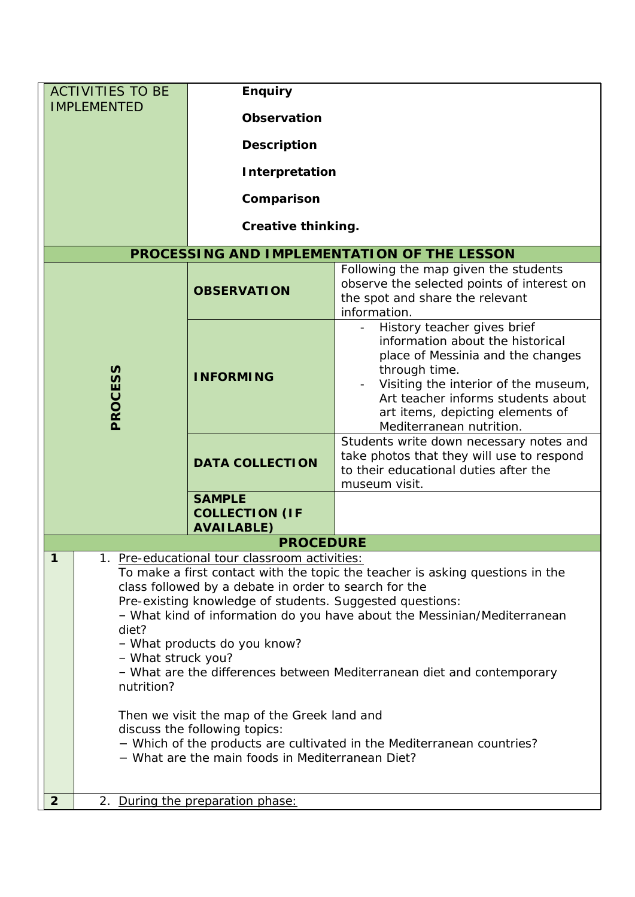| <b>ACTIVITIES TO BE</b>                                                                                                                                                                                                                                                                                                                                                                                                                                                                                                                                                                                                                                                                                   | <b>Enquiry</b>                                              |                                                                                                                                                                                                                                                                     |  |
|-----------------------------------------------------------------------------------------------------------------------------------------------------------------------------------------------------------------------------------------------------------------------------------------------------------------------------------------------------------------------------------------------------------------------------------------------------------------------------------------------------------------------------------------------------------------------------------------------------------------------------------------------------------------------------------------------------------|-------------------------------------------------------------|---------------------------------------------------------------------------------------------------------------------------------------------------------------------------------------------------------------------------------------------------------------------|--|
| <b>IMPLEMENTED</b>                                                                                                                                                                                                                                                                                                                                                                                                                                                                                                                                                                                                                                                                                        |                                                             |                                                                                                                                                                                                                                                                     |  |
|                                                                                                                                                                                                                                                                                                                                                                                                                                                                                                                                                                                                                                                                                                           | <b>Observation</b>                                          |                                                                                                                                                                                                                                                                     |  |
|                                                                                                                                                                                                                                                                                                                                                                                                                                                                                                                                                                                                                                                                                                           | <b>Description</b>                                          |                                                                                                                                                                                                                                                                     |  |
|                                                                                                                                                                                                                                                                                                                                                                                                                                                                                                                                                                                                                                                                                                           | Interpretation                                              |                                                                                                                                                                                                                                                                     |  |
|                                                                                                                                                                                                                                                                                                                                                                                                                                                                                                                                                                                                                                                                                                           |                                                             |                                                                                                                                                                                                                                                                     |  |
|                                                                                                                                                                                                                                                                                                                                                                                                                                                                                                                                                                                                                                                                                                           | Comparison                                                  |                                                                                                                                                                                                                                                                     |  |
|                                                                                                                                                                                                                                                                                                                                                                                                                                                                                                                                                                                                                                                                                                           | <b>Creative thinking.</b>                                   |                                                                                                                                                                                                                                                                     |  |
|                                                                                                                                                                                                                                                                                                                                                                                                                                                                                                                                                                                                                                                                                                           |                                                             | PROCESSING AND IMPLEMENTATION OF THE LESSON                                                                                                                                                                                                                         |  |
|                                                                                                                                                                                                                                                                                                                                                                                                                                                                                                                                                                                                                                                                                                           | <b>OBSERVATION</b>                                          | Following the map given the students<br>observe the selected points of interest on<br>the spot and share the relevant<br>information.                                                                                                                               |  |
| <b>PROCESS</b>                                                                                                                                                                                                                                                                                                                                                                                                                                                                                                                                                                                                                                                                                            | <b>INFORMING</b>                                            | History teacher gives brief<br>information about the historical<br>place of Messinia and the changes<br>through time.<br>Visiting the interior of the museum,<br>Art teacher informs students about<br>art items, depicting elements of<br>Mediterranean nutrition. |  |
|                                                                                                                                                                                                                                                                                                                                                                                                                                                                                                                                                                                                                                                                                                           | <b>DATA COLLECTION</b>                                      | Students write down necessary notes and<br>take photos that they will use to respond<br>to their educational duties after the<br>museum visit.                                                                                                                      |  |
|                                                                                                                                                                                                                                                                                                                                                                                                                                                                                                                                                                                                                                                                                                           | <b>SAMPLE</b><br><b>COLLECTION (IF</b><br><b>AVAILABLE)</b> |                                                                                                                                                                                                                                                                     |  |
|                                                                                                                                                                                                                                                                                                                                                                                                                                                                                                                                                                                                                                                                                                           | <b>PROCEDURE</b>                                            |                                                                                                                                                                                                                                                                     |  |
| 1<br>1. Pre-educational tour classroom activities:<br>To make a first contact with the topic the teacher is asking questions in the<br>class followed by a debate in order to search for the<br>Pre-existing knowledge of students. Suggested questions:<br>- What kind of information do you have about the Messinian/Mediterranean<br>diet?<br>- What products do you know?<br>- What struck you?<br>- What are the differences between Mediterranean diet and contemporary<br>nutrition?<br>Then we visit the map of the Greek land and<br>discuss the following topics:<br>- Which of the products are cultivated in the Mediterranean countries?<br>- What are the main foods in Mediterranean Diet? |                                                             |                                                                                                                                                                                                                                                                     |  |
| $\overline{2}$                                                                                                                                                                                                                                                                                                                                                                                                                                                                                                                                                                                                                                                                                            | 2. During the preparation phase:                            |                                                                                                                                                                                                                                                                     |  |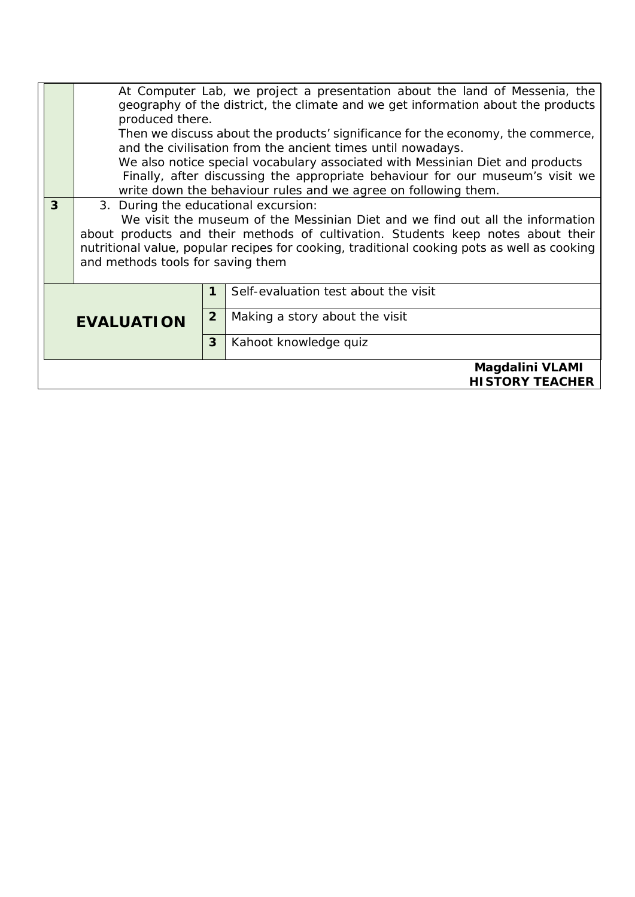|                   |                                                                                                                                                                                                                      | At Computer Lab, we project a presentation about the land of Messenia, the<br>geography of the district, the climate and we get information about the products<br>produced there. |                                                                                                                                              |  |  |  |
|-------------------|----------------------------------------------------------------------------------------------------------------------------------------------------------------------------------------------------------------------|-----------------------------------------------------------------------------------------------------------------------------------------------------------------------------------|----------------------------------------------------------------------------------------------------------------------------------------------|--|--|--|
|                   |                                                                                                                                                                                                                      |                                                                                                                                                                                   | Then we discuss about the products' significance for the economy, the commerce,                                                              |  |  |  |
|                   |                                                                                                                                                                                                                      |                                                                                                                                                                                   | and the civilisation from the ancient times until nowadays.<br>We also notice special vocabulary associated with Messinian Diet and products |  |  |  |
|                   | Finally, after discussing the appropriate behaviour for our museum's visit we<br>write down the behaviour rules and we agree on following them.                                                                      |                                                                                                                                                                                   |                                                                                                                                              |  |  |  |
| 3                 |                                                                                                                                                                                                                      | 3. During the educational excursion:                                                                                                                                              |                                                                                                                                              |  |  |  |
|                   |                                                                                                                                                                                                                      | We visit the museum of the Messinian Diet and we find out all the information                                                                                                     |                                                                                                                                              |  |  |  |
|                   | about products and their methods of cultivation. Students keep notes about their<br>nutritional value, popular recipes for cooking, traditional cooking pots as well as cooking<br>and methods tools for saving them |                                                                                                                                                                                   |                                                                                                                                              |  |  |  |
|                   |                                                                                                                                                                                                                      | 1                                                                                                                                                                                 | Self-evaluation test about the visit                                                                                                         |  |  |  |
| <b>EVALUATION</b> |                                                                                                                                                                                                                      | $\overline{2}$                                                                                                                                                                    | Making a story about the visit                                                                                                               |  |  |  |
|                   |                                                                                                                                                                                                                      | 3                                                                                                                                                                                 | Kahoot knowledge quiz                                                                                                                        |  |  |  |
|                   |                                                                                                                                                                                                                      |                                                                                                                                                                                   | Magdalini VLAMI                                                                                                                              |  |  |  |
|                   | <b>HISTORY TEACHER</b>                                                                                                                                                                                               |                                                                                                                                                                                   |                                                                                                                                              |  |  |  |